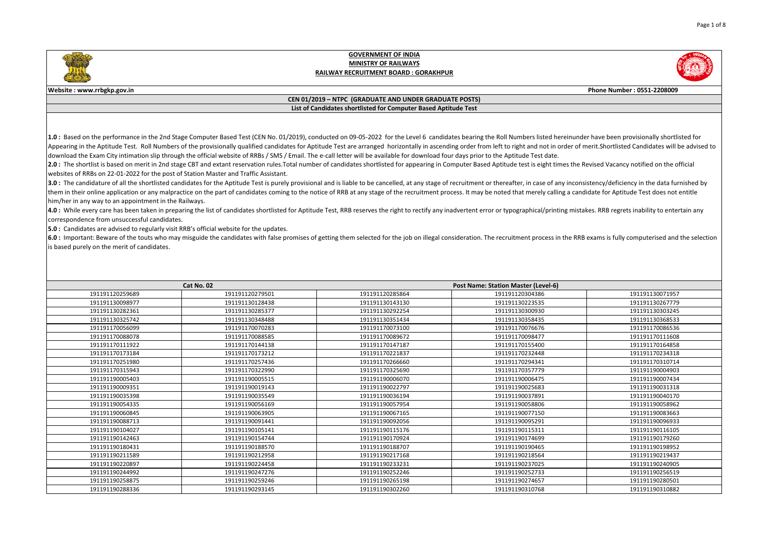



**Website : www.rrbgkp.gov.in Phone Number : 0551-2208009**

#### **CEN 01/2019 – NTPC (GRADUATE AND UNDER GRADUATE POSTS) List of Candidates shortlisted for Computer Based Aptitude Test**

1.0: Based on the performance in the 2nd Stage Computer Based Test (CEN No. 01/2019), conducted on 09-05-2022 for the Level 6 candidates bearing the Roll Numbers listed hereinunder have been provisionally shortlisted for Appearing in the Aptitude Test. Roll Numbers of the provisionally qualified candidates for Aptitude Test are arranged horizontally in ascending order from left to right and not in order of merit. Shortlisted Candidates wil download the Exam City intimation slip through the official website of RRBs / SMS / Email. The e-call letter will be available for download four days prior to the Aptitude Test date.

2.0 : The shortlist is based on merit in 2nd stage CBT and extant reservation rules. Total number of candidates shortlisted for appearing in Computer Based Aptitude test is eight times the Revised Vacancy notified on the o websites of RRBs on 22-01-2022 for the post of Station Master and Traffic Assistant.

3.0 : The candidature of all the shortlisted candidates for the Aptitude Test is purely provisional and is liable to be cancelled, at any stage of recruitment or thereafter, in case of any inconsistency/deficiency in the d them in their online application or any malpractice on the part of candidates coming to the notice of RRB at any stage of the recruitment process. It may be noted that merely calling a candidate for Aptitude Test does not him/her in any way to an appointment in the Railways.

4.0: While every care has been taken in preparing the list of candidates shortlisted for Aptitude Test, RRB reserves the right to rectify any inadvertent error or typographical/printing mistakes. RRB regrets inability to e correspondence from unsuccessful candidates.

**5.0 :** Candidates are advised to regularly visit RRB's official website for the updates.

6.0 : Important: Beware of the touts who may misguide the candidates with false promises of getting them selected for the job on illegal consideration. The recruitment process in the RRB exams is fully computerised and the is based purely on the merit of candidates.

| Cat No. 02      |                 | <b>Post Name: Station Master (Level-6)</b> |                 |                 |
|-----------------|-----------------|--------------------------------------------|-----------------|-----------------|
| 191191120259689 | 191191120279501 | 191191120285864                            | 191191120304386 | 191191130071957 |
| 191191130098977 | 191191130128438 | 191191130143130                            | 191191130223535 | 191191130267779 |
| 191191130282361 | 191191130285377 | 191191130292254                            | 191191130300930 | 191191130303245 |
| 191191130325742 | 191191130348488 | 191191130351434                            | 191191130358435 | 191191130368533 |
| 191191170056099 | 191191170070283 | 191191170073100                            | 191191170076676 | 191191170086536 |
| 191191170088078 | 191191170088585 | 191191170089672                            | 191191170098477 | 191191170111608 |
| 191191170111922 | 191191170144138 | 191191170147187                            | 191191170155400 | 191191170164858 |
| 191191170173184 | 191191170173212 | 191191170221837                            | 191191170232448 | 191191170234318 |
| 191191170251980 | 191191170257436 | 191191170266660                            | 191191170294341 | 191191170310714 |
| 191191170315943 | 191191170322990 | 191191170325690                            | 191191170357779 | 191191190004903 |
| 191191190005403 | 191191190005515 | 191191190006070                            | 191191190006475 | 191191190007434 |
| 191191190009351 | 191191190019143 | 191191190022797                            | 191191190025683 | 191191190031318 |
| 191191190035398 | 191191190035549 | 191191190036194                            | 191191190037891 | 191191190040170 |
| 191191190054335 | 191191190056169 | 191191190057954                            | 191191190058806 | 191191190058962 |
| 191191190060845 | 191191190063905 | 191191190067165                            | 191191190077150 | 191191190083663 |
| 191191190088713 | 191191190091441 | 191191190092056                            | 191191190095291 | 191191190096933 |
| 191191190104027 | 191191190105141 | 191191190115176                            | 191191190115311 | 191191190116105 |
| 191191190142463 | 191191190154744 | 191191190170924                            | 191191190174699 | 191191190179260 |
| 191191190180431 | 191191190188570 | 191191190188707                            | 191191190190465 | 191191190198952 |
| 191191190211589 | 191191190212958 | 191191190217168                            | 191191190218564 | 191191190219437 |
| 191191190220897 | 191191190224458 | 191191190233231                            | 191191190237025 | 191191190240905 |
| 191191190244992 | 191191190247276 | 191191190252246                            | 191191190252733 | 191191190256519 |
| 191191190258875 | 191191190259246 | 191191190265198                            | 191191190274657 | 191191190280501 |
| 191191190288336 | 191191190293145 | 191191190302260                            | 191191190310768 | 191191190310882 |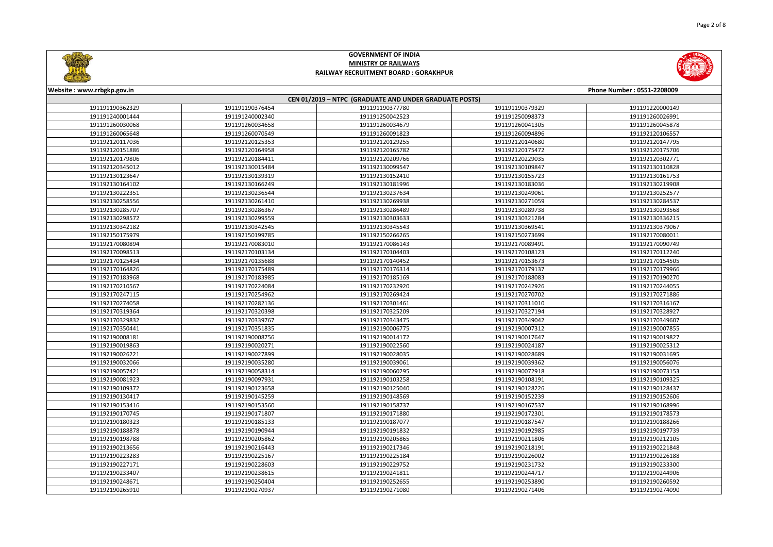

| Website: www.rrbgkp.gov.in                             |                 |                 |                 | Phone Number: 0551-2208009 |  |  |
|--------------------------------------------------------|-----------------|-----------------|-----------------|----------------------------|--|--|
| CEN 01/2019 - NTPC (GRADUATE AND UNDER GRADUATE POSTS) |                 |                 |                 |                            |  |  |
| 191191190362329                                        | 191191190376454 | 191191190377780 | 191191190379329 | 191191220000149            |  |  |
| 191191240001444                                        | 191191240002340 | 191191250042523 | 191191250098373 | 191191260026991            |  |  |
| 191191260030068                                        | 191191260034658 | 191191260034679 | 191191260041305 | 191191260045878            |  |  |
| 191191260065648                                        | 191191260070549 | 191191260091823 | 191191260094896 | 191192120106557            |  |  |
| 191192120117036                                        | 191192120125353 | 191192120129255 | 191192120140680 | 191192120147795            |  |  |
| 191192120151886                                        | 191192120164958 | 191192120165782 | 191192120175472 | 191192120175706            |  |  |
| 191192120179806                                        | 191192120184411 | 191192120209766 | 191192120229035 | 191192120302771            |  |  |
| 191192120345012                                        | 191192130015484 | 191192130099547 | 191192130109847 | 191192130110828            |  |  |
| 191192130123647                                        | 191192130139319 | 191192130152410 | 191192130155723 | 191192130161753            |  |  |
| 191192130164102                                        | 191192130166249 | 191192130181996 | 191192130183036 | 191192130219908            |  |  |
| 191192130222351                                        | 191192130236544 | 191192130237634 | 191192130249061 | 191192130252577            |  |  |
| 191192130258556                                        | 191192130261410 | 191192130269938 | 191192130271059 | 191192130284537            |  |  |
| 191192130285707                                        | 191192130286367 | 191192130286489 | 191192130289738 | 191192130293568            |  |  |
| 191192130298572                                        | 191192130299559 | 191192130303633 | 191192130321284 | 191192130336215            |  |  |
| 191192130342182                                        | 191192130342545 | 191192130345543 | 191192130369541 | 191192130379067            |  |  |
| 191192150175979                                        | 191192150199785 | 191192150266265 | 191192150273699 | 191192170080011            |  |  |
| 191192170080894                                        | 191192170083010 | 191192170086143 | 191192170089491 | 191192170090749            |  |  |
| 191192170098513                                        | 191192170103134 | 191192170104403 | 191192170108123 | 191192170112240            |  |  |
| 191192170125434                                        | 191192170135688 | 191192170140452 | 191192170153673 | 191192170154505            |  |  |
| 191192170164826                                        | 191192170175489 | 191192170176314 | 191192170179137 | 191192170179966            |  |  |
| 191192170183968                                        | 191192170183985 | 191192170185169 | 191192170188083 | 191192170190270            |  |  |
| 191192170210567                                        | 191192170224084 | 191192170232920 | 191192170242926 | 191192170244055            |  |  |
| 191192170247115                                        | 191192170254962 | 191192170269424 | 191192170270702 | 191192170271886            |  |  |
| 191192170274058                                        | 191192170282136 | 191192170301461 | 191192170311010 | 191192170316167            |  |  |
| 191192170319364                                        | 191192170320398 | 191192170325209 | 191192170327194 | 191192170328927            |  |  |
| 191192170329832                                        | 191192170339767 | 191192170343475 | 191192170349042 | 191192170349607            |  |  |
| 191192170350441                                        | 191192170351835 | 191192190006775 | 191192190007312 | 191192190007855            |  |  |
| 191192190008181                                        | 191192190008756 | 191192190014172 | 191192190017647 | 191192190019827            |  |  |
| 191192190019863                                        | 191192190020271 | 191192190022560 | 191192190024187 | 191192190025312            |  |  |
| 191192190026221                                        | 191192190027899 | 191192190028035 | 191192190028689 | 191192190031695            |  |  |
| 191192190032066                                        | 191192190035280 | 191192190039061 | 191192190039362 | 191192190056076            |  |  |
| 191192190057421                                        | 191192190058314 | 191192190060295 | 191192190072918 | 191192190073153            |  |  |
| 191192190081923                                        | 191192190097931 | 191192190103258 | 191192190108191 | 191192190109325            |  |  |
| 191192190109372                                        | 191192190123658 | 191192190125040 | 191192190128226 | 191192190128437            |  |  |
| 191192190130417                                        | 191192190145259 | 191192190148569 | 191192190152239 | 191192190152606            |  |  |
| 191192190153416                                        | 191192190153560 | 191192190158737 | 191192190167537 | 191192190168996            |  |  |
| 191192190170745                                        | 191192190171807 | 191192190171880 | 191192190172301 | 191192190178573            |  |  |
| 191192190180323                                        | 191192190185133 | 191192190187077 | 191192190187547 | 191192190188266            |  |  |
| 191192190188878                                        | 191192190190944 | 191192190191832 | 191192190192985 | 191192190197739            |  |  |
| 191192190198788                                        | 191192190205862 | 191192190205865 | 191192190211806 | 191192190212105            |  |  |
| 191192190213656                                        | 191192190216443 | 191192190217346 | 191192190218191 | 191192190221848            |  |  |
| 191192190223283                                        | 191192190225167 | 191192190225184 | 191192190226002 | 191192190226188            |  |  |
| 191192190227171                                        | 191192190228603 | 191192190229752 | 191192190231732 | 191192190233300            |  |  |
| 191192190233407                                        | 191192190238615 | 191192190241811 | 191192190244717 | 191192190244906            |  |  |
| 191192190248671                                        | 191192190250404 | 191192190252655 | 191192190253890 | 191192190260592            |  |  |
| 191192190265910                                        | 191192190270937 | 191192190271080 | 191192190271406 | 191192190274090            |  |  |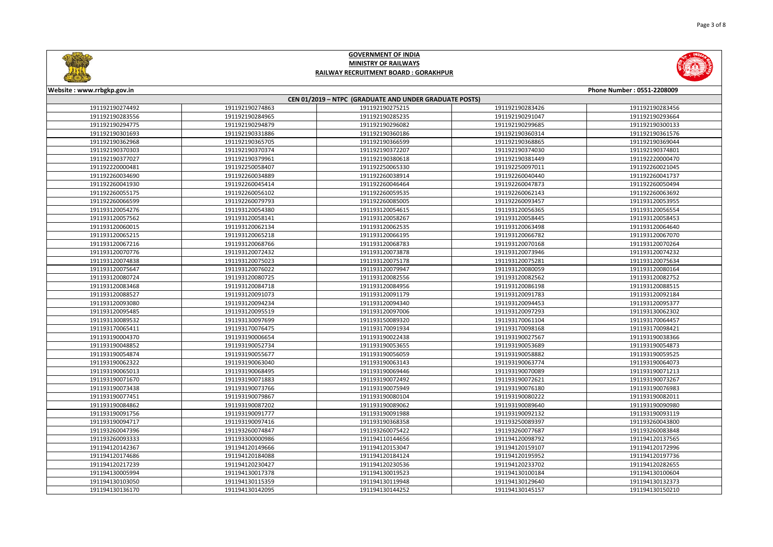

| Website: www.rrbgkp.gov.in<br>Phone Number: 0551-2208009 |                 |                 |                 |                 |  |  |  |
|----------------------------------------------------------|-----------------|-----------------|-----------------|-----------------|--|--|--|
| CEN 01/2019 - NTPC (GRADUATE AND UNDER GRADUATE POSTS)   |                 |                 |                 |                 |  |  |  |
| 191192190274492                                          | 191192190274863 | 191192190275215 | 191192190283426 | 191192190283456 |  |  |  |
| 191192190283556                                          | 191192190284965 | 191192190285235 | 191192190291047 | 191192190293664 |  |  |  |
| 191192190294775                                          | 191192190294879 | 191192190296082 | 191192190299685 | 191192190300133 |  |  |  |
| 191192190301693                                          | 191192190331886 | 191192190360186 | 191192190360314 | 191192190361576 |  |  |  |
| 191192190362968                                          | 191192190365705 | 191192190366599 | 191192190368865 | 191192190369044 |  |  |  |
| 191192190370303                                          | 191192190370374 | 191192190372207 | 191192190374030 | 191192190374801 |  |  |  |
| 191192190377027                                          | 191192190379961 | 191192190380618 | 191192190381449 | 191192220000470 |  |  |  |
| 191192220000481                                          | 191192250058407 | 191192250065330 | 191192250097011 | 191192260021045 |  |  |  |
| 191192260034690                                          | 191192260034889 | 191192260038914 | 191192260040440 | 191192260041737 |  |  |  |
| 191192260041930                                          | 191192260045414 | 191192260046464 | 191192260047873 | 191192260050494 |  |  |  |
| 191192260055175                                          | 191192260056102 | 191192260059535 | 191192260062143 | 191192260063692 |  |  |  |
| 191192260066599                                          | 191192260079793 | 191192260085005 | 191192260093457 | 191193120053955 |  |  |  |
| 191193120054276                                          | 191193120054380 | 191193120054615 | 191193120056365 | 191193120056554 |  |  |  |
| 191193120057562                                          | 191193120058141 | 191193120058267 | 191193120058445 | 191193120058453 |  |  |  |
| 191193120060015                                          | 191193120062134 | 191193120062535 | 191193120063498 | 191193120064640 |  |  |  |
| 191193120065215                                          | 191193120065218 | 191193120066195 | 191193120066782 | 191193120067070 |  |  |  |
| 191193120067216                                          | 191193120068766 | 191193120068783 | 191193120070168 | 191193120070264 |  |  |  |
| 191193120070776                                          | 191193120072432 | 191193120073878 | 191193120073946 | 191193120074232 |  |  |  |
| 191193120074838                                          | 191193120075023 | 191193120075178 | 191193120075281 | 191193120075634 |  |  |  |
| 191193120075647                                          | 191193120076022 | 191193120079947 | 191193120080059 | 191193120080164 |  |  |  |
| 191193120080724                                          | 191193120080725 | 191193120082556 | 191193120082562 | 191193120082752 |  |  |  |
| 191193120083468                                          | 191193120084718 | 191193120084956 | 191193120086198 | 191193120088515 |  |  |  |
| 191193120088527                                          | 191193120091073 | 191193120091179 | 191193120091783 | 191193120092184 |  |  |  |
| 191193120093080                                          | 191193120094234 | 191193120094340 | 191193120094453 | 191193120095377 |  |  |  |
| 191193120095485                                          | 191193120095519 | 191193120097006 | 191193120097293 | 191193130062302 |  |  |  |
| 191193130089532                                          | 191193130097699 | 191193150089320 | 191193170061104 | 191193170064457 |  |  |  |
| 191193170065411                                          | 191193170076475 | 191193170091934 | 191193170098168 | 191193170098421 |  |  |  |
| 191193190004370                                          | 191193190006654 | 191193190022438 | 191193190027567 | 191193190038366 |  |  |  |
| 191193190048852                                          | 191193190052734 | 191193190053655 | 191193190053689 | 191193190054873 |  |  |  |
| 191193190054874                                          | 191193190055677 | 191193190056059 | 191193190058882 | 191193190059525 |  |  |  |
| 191193190062322                                          | 191193190063040 | 191193190063143 | 191193190063774 | 191193190064073 |  |  |  |
| 191193190065013                                          | 191193190068495 | 191193190069446 | 191193190070089 | 191193190071213 |  |  |  |
| 191193190071670                                          | 191193190071883 | 191193190072492 | 191193190072621 | 191193190073267 |  |  |  |
| 191193190073438                                          | 191193190073766 | 191193190075949 | 191193190076180 | 191193190076983 |  |  |  |
| 191193190077451                                          | 191193190079867 | 191193190080104 | 191193190080222 | 191193190082011 |  |  |  |
| 191193190084862                                          | 191193190087202 | 191193190089062 | 191193190089640 | 191193190090980 |  |  |  |
| 191193190091756                                          | 191193190091777 | 191193190091988 | 191193190092132 | 191193190093119 |  |  |  |
| 191193190094717                                          | 191193190097416 | 191193190368358 | 191193250089397 | 191193260043800 |  |  |  |
| 191193260047396                                          | 191193260074847 | 191193260075422 | 191193260077687 | 191193260083848 |  |  |  |
| 191193260093333                                          | 191193300000986 | 191194110144656 | 191194120098792 | 191194120137565 |  |  |  |
| 191194120142367                                          | 191194120149666 | 191194120153047 | 191194120159107 | 191194120172996 |  |  |  |
| 191194120174686                                          | 191194120184088 | 191194120184124 | 191194120195952 | 191194120197736 |  |  |  |
| 191194120217239                                          | 191194120230427 | 191194120230536 | 191194120233702 | 191194120282655 |  |  |  |
| 191194130005994                                          | 191194130017378 | 191194130019523 | 191194130100184 | 191194130100604 |  |  |  |
| 191194130103050                                          | 191194130115359 | 191194130119948 | 191194130129640 | 191194130132373 |  |  |  |
| 191194130136170                                          | 191194130142095 | 191194130144252 | 191194130145157 | 191194130150210 |  |  |  |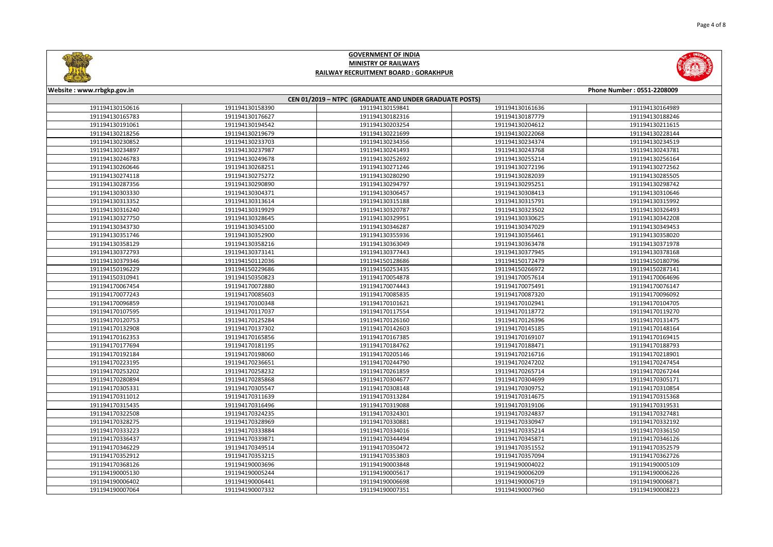



| Website: www.rrbgkp.gov.in<br>Phone Number: 0551-2208009 |                 |                 |                 |                 |  |  |  |
|----------------------------------------------------------|-----------------|-----------------|-----------------|-----------------|--|--|--|
| CEN 01/2019 - NTPC (GRADUATE AND UNDER GRADUATE POSTS)   |                 |                 |                 |                 |  |  |  |
| 191194130150616                                          | 191194130158390 | 191194130159841 | 191194130161636 | 191194130164989 |  |  |  |
| 191194130165783                                          | 191194130176627 | 191194130182316 | 191194130187779 | 191194130188246 |  |  |  |
| 191194130191061                                          | 191194130194542 | 191194130203254 | 191194130204612 | 191194130211615 |  |  |  |
| 191194130218256                                          | 191194130219679 | 191194130221699 | 191194130222068 | 191194130228144 |  |  |  |
| 191194130230852                                          | 191194130233703 | 191194130234356 | 191194130234374 | 191194130234519 |  |  |  |
| 191194130234897                                          | 191194130237987 | 191194130241493 | 191194130243768 | 191194130243781 |  |  |  |
| 191194130246783                                          | 191194130249678 | 191194130252692 | 191194130255214 | 191194130256164 |  |  |  |
| 191194130260646                                          | 191194130268251 | 191194130271246 | 191194130272196 | 191194130272562 |  |  |  |
| 191194130274118                                          | 191194130275272 | 191194130280290 | 191194130282039 | 191194130285505 |  |  |  |
| 191194130287356                                          | 191194130290890 | 191194130294797 | 191194130295251 | 191194130298742 |  |  |  |
| 191194130303330                                          | 191194130304371 | 191194130306457 | 191194130308413 | 191194130310646 |  |  |  |
| 191194130313352                                          | 191194130313614 | 191194130315188 | 191194130315791 | 191194130315992 |  |  |  |
| 191194130316240                                          | 191194130319929 | 191194130320787 | 191194130323502 | 191194130326493 |  |  |  |
| 191194130327750                                          | 191194130328645 | 191194130329951 | 191194130330625 | 191194130342208 |  |  |  |
| 191194130343730                                          | 191194130345100 | 191194130346287 | 191194130347029 | 191194130349453 |  |  |  |
| 191194130351746                                          | 191194130352900 | 191194130355936 | 191194130356461 | 191194130358020 |  |  |  |
| 191194130358129                                          | 191194130358216 | 191194130363049 | 191194130363478 | 191194130371978 |  |  |  |
| 191194130372793                                          | 191194130373141 | 191194130377443 | 191194130377945 | 191194130378168 |  |  |  |
| 191194130379346                                          | 191194150112036 | 191194150128686 | 191194150172479 | 191194150180796 |  |  |  |
|                                                          |                 |                 | 191194150266972 | 191194150287141 |  |  |  |
| 191194150196229                                          | 191194150229686 | 191194150253435 |                 |                 |  |  |  |
| 191194150310941                                          | 191194150350823 | 191194170054878 | 191194170057614 | 191194170064696 |  |  |  |
| 191194170067454                                          | 191194170072880 | 191194170074443 | 191194170075491 | 191194170076147 |  |  |  |
| 191194170077243                                          | 191194170085603 | 191194170085835 | 191194170087320 | 191194170096092 |  |  |  |
| 191194170096859                                          | 191194170100348 | 191194170101621 | 191194170102941 | 191194170104705 |  |  |  |
| 191194170107595                                          | 191194170117037 | 191194170117554 | 191194170118772 | 191194170119270 |  |  |  |
| 191194170120753                                          | 191194170125284 | 191194170126160 | 191194170126396 | 191194170131475 |  |  |  |
| 191194170132908                                          | 191194170137302 | 191194170142603 | 191194170145185 | 191194170148164 |  |  |  |
| 191194170162353                                          | 191194170165856 | 191194170167385 | 191194170169107 | 191194170169415 |  |  |  |
| 191194170177694                                          | 191194170181195 | 191194170184762 | 191194170188471 | 191194170188793 |  |  |  |
| 191194170192184                                          | 191194170198060 | 191194170205146 | 191194170216716 | 191194170218901 |  |  |  |
| 191194170223195                                          | 191194170236651 | 191194170244790 | 191194170247202 | 191194170247454 |  |  |  |
| 191194170253202                                          | 191194170258232 | 191194170261859 | 191194170265714 | 191194170267244 |  |  |  |
| 191194170280894                                          | 191194170285868 | 191194170304677 | 191194170304699 | 191194170305171 |  |  |  |
| 191194170305331                                          | 191194170305547 | 191194170308148 | 191194170309752 | 191194170310854 |  |  |  |
| 191194170311012                                          | 191194170311639 | 191194170313284 | 191194170314675 | 191194170315368 |  |  |  |
| 191194170315435                                          | 191194170316496 | 191194170319088 | 191194170319106 | 191194170319531 |  |  |  |
| 191194170322508                                          | 191194170324235 | 191194170324301 | 191194170324837 | 191194170327481 |  |  |  |
| 191194170328275                                          | 191194170328969 | 191194170330881 | 191194170330947 | 191194170332192 |  |  |  |
| 191194170333223                                          | 191194170333884 | 191194170334016 | 191194170335214 | 191194170336150 |  |  |  |
| 191194170336437                                          | 191194170339871 | 191194170344494 | 191194170345871 | 191194170346126 |  |  |  |
| 191194170346229                                          | 191194170349514 | 191194170350472 | 191194170351552 | 191194170352579 |  |  |  |
| 191194170352912                                          | 191194170353215 | 191194170353803 | 191194170357094 | 191194170362726 |  |  |  |
| 191194170368126                                          | 191194190003696 | 191194190003848 | 191194190004022 | 191194190005109 |  |  |  |
| 191194190005130                                          | 191194190005244 | 191194190005617 | 191194190006209 | 191194190006226 |  |  |  |
| 191194190006402                                          | 191194190006441 | 191194190006698 | 191194190006719 | 191194190006871 |  |  |  |
| 191194190007064                                          | 191194190007332 | 191194190007351 | 191194190007960 | 191194190008223 |  |  |  |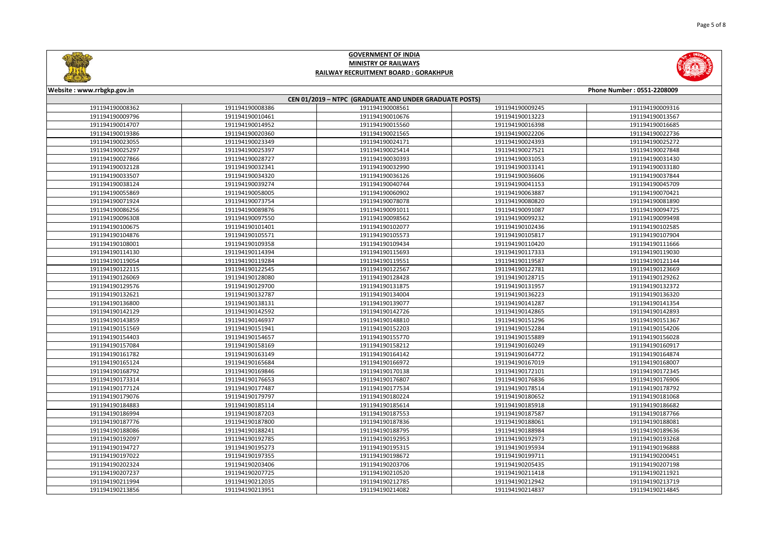



| Website : www.rrbgkp.gov.in<br>Phone Number: 0551-2208009 |                 |                 |                 |                 |  |  |  |
|-----------------------------------------------------------|-----------------|-----------------|-----------------|-----------------|--|--|--|
| CEN 01/2019 - NTPC (GRADUATE AND UNDER GRADUATE POSTS)    |                 |                 |                 |                 |  |  |  |
| 191194190008362                                           | 191194190008386 | 191194190008561 | 191194190009245 | 191194190009316 |  |  |  |
| 191194190009796                                           | 191194190010461 | 191194190010676 | 191194190013223 | 191194190013567 |  |  |  |
| 191194190014707                                           | 191194190014952 | 191194190015560 | 191194190016398 | 191194190016685 |  |  |  |
| 191194190019386                                           | 191194190020360 | 191194190021565 | 191194190022206 | 191194190022736 |  |  |  |
| 191194190023055                                           | 191194190023349 | 191194190024171 | 191194190024393 | 191194190025272 |  |  |  |
| 191194190025297                                           | 191194190025397 | 191194190025414 | 191194190027521 | 191194190027848 |  |  |  |
| 191194190027866                                           | 191194190028727 | 191194190030393 | 191194190031053 | 191194190031430 |  |  |  |
| 191194190032128                                           | 191194190032341 | 191194190032990 | 191194190033141 | 191194190033180 |  |  |  |
| 191194190033507                                           | 191194190034320 | 191194190036126 | 191194190036606 | 191194190037844 |  |  |  |
| 191194190038124                                           | 191194190039274 | 191194190040744 | 191194190041153 | 191194190045709 |  |  |  |
| 191194190055869                                           | 191194190058005 | 191194190060902 | 191194190063887 | 191194190070421 |  |  |  |
| 191194190071924                                           | 191194190073754 | 191194190078078 | 191194190080820 | 191194190081890 |  |  |  |
| 191194190086256                                           | 191194190089876 | 191194190091011 | 191194190091087 | 191194190094725 |  |  |  |
| 191194190096308                                           | 191194190097550 | 191194190098562 | 191194190099232 | 191194190099498 |  |  |  |
| 191194190100675                                           | 191194190101401 | 191194190102077 | 191194190102436 | 191194190102585 |  |  |  |
| 191194190104876                                           | 191194190105571 | 191194190105573 | 191194190105817 | 191194190107904 |  |  |  |
| 191194190108001                                           | 191194190109358 | 191194190109434 | 191194190110420 | 191194190111666 |  |  |  |
| 191194190114130                                           | 191194190114394 | 191194190115693 | 191194190117333 | 191194190119030 |  |  |  |
| 191194190119054                                           | 191194190119284 | 191194190119551 | 191194190119587 | 191194190121144 |  |  |  |
| 191194190122115                                           | 191194190122545 | 191194190122567 | 191194190122781 | 191194190123669 |  |  |  |
| 191194190126069                                           | 191194190128080 | 191194190128428 | 191194190128715 | 191194190129262 |  |  |  |
| 191194190129576                                           | 191194190129700 | 191194190131875 | 191194190131957 | 191194190132372 |  |  |  |
| 191194190132621                                           | 191194190132787 | 191194190134004 | 191194190136223 | 191194190136320 |  |  |  |
| 191194190136800                                           | 191194190138131 | 191194190139077 | 191194190141287 | 191194190141354 |  |  |  |
| 191194190142129                                           | 191194190142592 | 191194190142726 | 191194190142865 | 191194190142893 |  |  |  |
| 191194190143859                                           | 191194190146937 | 191194190148810 | 191194190151296 | 191194190151367 |  |  |  |
| 191194190151569                                           | 191194190151941 | 191194190152203 | 191194190152284 | 191194190154206 |  |  |  |
| 191194190154403                                           | 191194190154657 | 191194190155770 | 191194190155889 | 191194190156028 |  |  |  |
| 191194190157084                                           | 191194190158169 | 191194190158212 | 191194190160249 | 191194190160917 |  |  |  |
| 191194190161782                                           | 191194190163149 | 191194190164142 | 191194190164772 | 191194190164874 |  |  |  |
| 191194190165124                                           | 191194190165684 | 191194190166972 | 191194190167019 | 191194190168007 |  |  |  |
| 191194190168792                                           | 191194190169846 | 191194190170138 | 191194190172101 | 191194190172345 |  |  |  |
| 191194190173314                                           | 191194190176653 | 191194190176807 | 191194190176836 | 191194190176906 |  |  |  |
| 191194190177124                                           | 191194190177487 | 191194190177534 | 191194190178514 | 191194190178792 |  |  |  |
| 191194190179076                                           | 191194190179797 | 191194190180224 | 191194190180652 | 191194190181068 |  |  |  |
| 191194190184883                                           | 191194190185114 | 191194190185614 | 191194190185918 | 191194190186682 |  |  |  |
| 191194190186994                                           | 191194190187203 | 191194190187553 | 191194190187587 | 191194190187766 |  |  |  |
| 191194190187776                                           | 191194190187800 | 191194190187836 | 191194190188061 | 191194190188081 |  |  |  |
| 191194190188086                                           | 191194190188241 | 191194190188795 | 191194190188984 | 191194190189636 |  |  |  |
| 191194190192097                                           | 191194190192785 | 191194190192953 | 191194190192973 | 191194190193268 |  |  |  |
| 191194190194727                                           | 191194190195273 | 191194190195315 | 191194190195934 | 191194190196888 |  |  |  |
| 191194190197022                                           | 191194190197355 | 191194190198672 | 191194190199711 | 191194190200451 |  |  |  |
| 191194190202324                                           | 191194190203406 | 191194190203706 | 191194190205435 | 191194190207198 |  |  |  |
| 191194190207237                                           | 191194190207725 | 191194190210520 | 191194190211418 | 191194190211921 |  |  |  |
| 191194190211994                                           | 191194190212035 | 191194190212785 | 191194190212942 | 191194190213719 |  |  |  |
| 191194190213856                                           | 191194190213951 | 191194190214082 | 191194190214837 | 191194190214845 |  |  |  |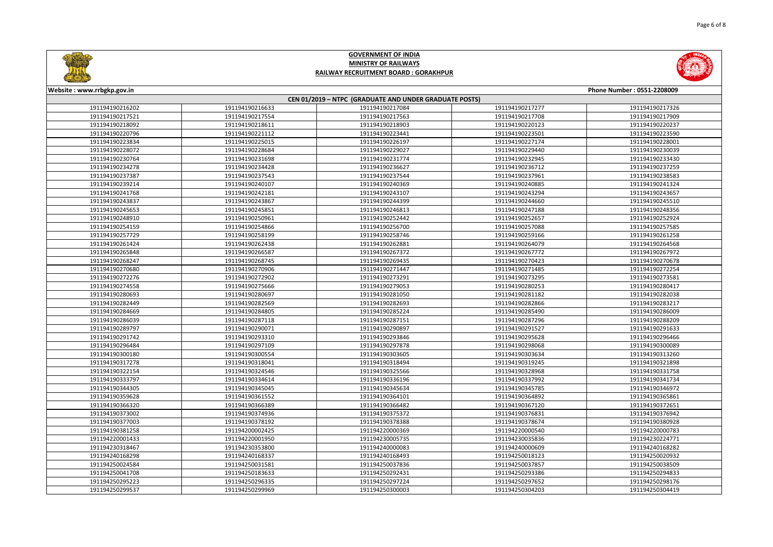



#### **Website : www.rrbgkp.gov.in Phone Number : 0551-2208009 CEN 01/2019 – NTPC (GRADUATE AND UNDER GRADUATE POSTS)** 191194190216633 191194190217084 191194190217277 191194190217326 191194190217554 191194190217563 191194190217708 191194190217909 191194190218611 191194190218903 191194190220123 191194190220237 191194190221112 191194190223441 191194190223501 191194190223590 191194190225015 191194190226197 191194190227174 191194190228001 191194190228684 191194190229027 191194190229440 191194190230039 191194190231698 191194190231774 191194190232945 191194190233430 191194190234428 191194190236627 191194190236712 191194190237259 191194190237543 191194190237544 191194190237961 191194190238583 191194190240107 191194190240369 191194190240885 191194190241324 191194190242181 191194190243107 191194190243294 191194190243657 191194190243867 191194190244399 191194190244660 191194190245510 191194190245851 191194190246813 191194190247188 191194190248356 191194190250961 191194190252442 191194190252657 191194190252924 191194190254159 191194190254866 191194190256700 191194190257088 191194190257585 191194190258199 191194190258746 191194190259166 191194190261258 191194190262438 191194190262881 191194190264079 191194190264568 191194190266587 191194190267372 191194190267772 191194190267972 191194190268745 191194190269435 191194190270423 191194190270678 191194190270906 191194190271447 191194190271485 191194190272254 191194190272902 191194190273291 191194190273295 191194190273581 191194190275666 191194190279053 191194190280253 191194190280417 191194190280697 191194190281050 191194190281182 191194190282038 191194190282569 191194190282693 191194190282866 191194190283217 191194190284805 191194190285224 191194190285490 191194190286009 191194190287118 191194190287151 191194190287296 191194190288209 191194190290071 191194190290897 191194190291527 191194190291633 191194190293310 191194190293846 191194190295628 191194190296466 191194190297109 191194190297878 191194190298068 191194190300089 191194190300554 191194190303605 191194190303634 191194190313260 191194190318041 191194190318494 191194190319245 191194190321898 191194190324546 191194190325566 191194190328968 191194190331758 191194190334614 191194190336196 191194190337992 191194190341734 191194190345045 191194190345634 191194190345785 191194190346972 191194190361552 191194190364101 191194190364892 191194190365861 191194190366389 191194190366482 191194190367120 191194190372651 191194190374936 191194190375372 191194190376831 191194190376942 191194190378192 191194190378388 191194190378674 191194190380928 191194200002425 191194220000369 191194220000540 191194220000783 191194220001950 191194230005735 191194230035836 191194230224771 191194230353800 191194240000083 191194240000609 191194240168282 191194240168337 191194240168493 191194250018123 191194250020932 191194250031581 191194250037836 191194250037857 191194250038509 191194250183633 191194250292431 191194250293386 191194250294833 191194250296335 191194250297224 191194250297652 191194250298176 191194250299969 191194250300003 191194250304203 191194250304419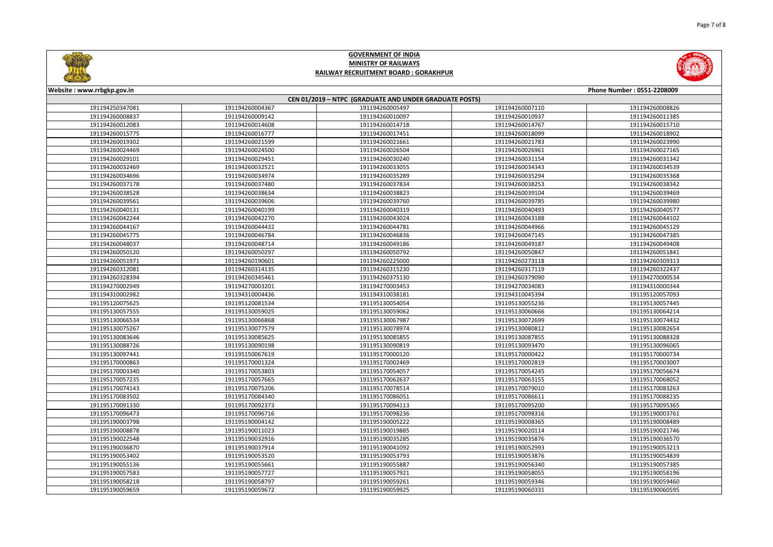

| Website: www.rrbgkp.gov.in<br>Phone Number: 0551-2208009 |                 |                 |                 |                 |  |  |  |
|----------------------------------------------------------|-----------------|-----------------|-----------------|-----------------|--|--|--|
| CEN 01/2019 - NTPC (GRADUATE AND UNDER GRADUATE POSTS)   |                 |                 |                 |                 |  |  |  |
| 191194250347081                                          | 191194260004367 | 191194260005497 | 191194260007110 | 191194260008826 |  |  |  |
| 191194260008837                                          | 191194260009142 | 191194260010097 | 191194260010937 | 191194260011385 |  |  |  |
| 191194260012083                                          | 191194260014608 | 191194260014718 | 191194260014767 | 191194260015710 |  |  |  |
| 191194260015775                                          | 191194260016777 | 191194260017451 | 191194260018099 | 191194260018902 |  |  |  |
| 191194260019302                                          | 191194260021599 | 191194260021661 | 191194260021783 | 191194260023990 |  |  |  |
| 191194260024469                                          | 191194260024500 | 191194260026504 | 191194260026961 | 191194260027165 |  |  |  |
| 191194260029101                                          | 191194260029451 | 191194260030240 | 191194260031154 | 191194260031342 |  |  |  |
| 191194260032469                                          | 191194260032521 | 191194260033055 | 191194260034343 | 191194260034539 |  |  |  |
| 191194260034696                                          | 191194260034974 | 191194260035289 | 191194260035294 | 191194260035368 |  |  |  |
| 191194260037178                                          | 191194260037480 | 191194260037834 | 191194260038253 | 191194260038342 |  |  |  |
| 191194260038528                                          | 191194260038634 | 191194260038823 | 191194260039104 | 191194260039469 |  |  |  |
| 191194260039561                                          | 191194260039606 | 191194260039760 | 191194260039785 | 191194260039980 |  |  |  |
| 191194260040131                                          | 191194260040199 | 191194260040319 | 191194260040493 | 191194260040577 |  |  |  |
| 191194260042244                                          | 191194260042270 | 191194260043024 | 191194260043188 | 191194260044102 |  |  |  |
| 191194260044167                                          | 191194260044432 | 191194260044781 | 191194260044966 | 191194260045129 |  |  |  |
| 191194260045775                                          | 191194260046784 | 191194260046836 | 191194260047145 | 191194260047385 |  |  |  |
| 191194260048037                                          | 191194260048714 | 191194260049186 | 191194260049187 | 191194260049408 |  |  |  |
| 191194260050120                                          | 191194260050297 | 191194260050792 | 191194260050847 | 191194260051841 |  |  |  |
| 191194260051971                                          | 191194260190601 | 191194260225000 | 191194260273118 | 191194260309313 |  |  |  |
| 191194260312081                                          | 191194260314135 | 191194260315230 | 191194260317119 | 191194260322437 |  |  |  |
| 191194260328394                                          | 191194260345461 | 191194260375130 | 191194260379090 | 191194270000534 |  |  |  |
| 191194270002949                                          | 191194270003201 | 191194270003453 | 191194270034083 | 191194310000344 |  |  |  |
| 191194310002982                                          | 191194310004436 | 191194310038181 | 191194310045394 | 191195120057093 |  |  |  |
| 191195120075625                                          | 191195120081534 | 191195130054054 | 191195130055236 | 191195130057445 |  |  |  |
| 191195130057555                                          | 191195130059025 | 191195130059062 | 191195130060666 | 191195130064214 |  |  |  |
| 191195130066534                                          | 191195130066868 | 191195130067987 | 191195130072699 | 191195130074432 |  |  |  |
| 191195130075267                                          | 191195130077579 | 191195130078974 | 191195130080812 | 191195130082654 |  |  |  |
| 191195130083646                                          | 191195130085625 | 191195130085855 | 191195130087855 | 191195130088328 |  |  |  |
| 191195130088726                                          | 191195130090198 | 191195130090819 | 191195130093470 | 191195130096065 |  |  |  |
| 191195130097441                                          | 191195150067619 | 191195170000120 | 191195170000422 | 191195170000734 |  |  |  |
| 191195170000863                                          | 191195170001324 | 191195170002469 | 191195170002819 | 191195170003007 |  |  |  |
| 191195170003340                                          | 191195170053803 | 191195170054057 | 191195170054245 | 191195170056674 |  |  |  |
| 191195170057235                                          | 191195170057665 | 191195170062637 | 191195170063155 | 191195170068052 |  |  |  |
| 191195170074143                                          | 191195170075206 | 191195170078514 | 191195170079010 | 191195170083263 |  |  |  |
| 191195170083502                                          | 191195170084340 | 191195170086051 | 191195170086611 | 191195170088235 |  |  |  |
| 191195170091330                                          | 191195170092373 | 191195170094113 | 191195170095200 | 191195170095365 |  |  |  |
| 191195170096473                                          | 191195170096716 | 191195170098236 | 191195170098316 | 191195190003761 |  |  |  |
| 191195190003798                                          | 191195190004142 | 191195190005222 | 191195190008365 | 191195190008489 |  |  |  |
| 191195190008878                                          | 191195190011023 | 191195190019885 | 191195190020114 | 191195190021746 |  |  |  |
| 191195190022548                                          | 191195190032916 | 191195190035285 | 191195190035876 | 191195190036570 |  |  |  |
| 191195190036870                                          | 191195190037914 | 191195190041092 | 191195190052993 | 191195190053213 |  |  |  |
| 191195190053402                                          | 191195190053520 | 191195190053793 | 191195190053876 | 191195190054839 |  |  |  |
| 191195190055136                                          | 191195190055661 | 191195190055887 | 191195190056340 | 191195190057385 |  |  |  |
| 191195190057583                                          | 191195190057727 | 191195190057921 | 191195190058055 | 191195190058196 |  |  |  |
| 191195190058218                                          | 191195190058797 | 191195190059261 | 191195190059346 | 191195190059460 |  |  |  |
| 191195190059659                                          | 191195190059672 | 191195190059925 | 191195190060331 | 191195190060595 |  |  |  |